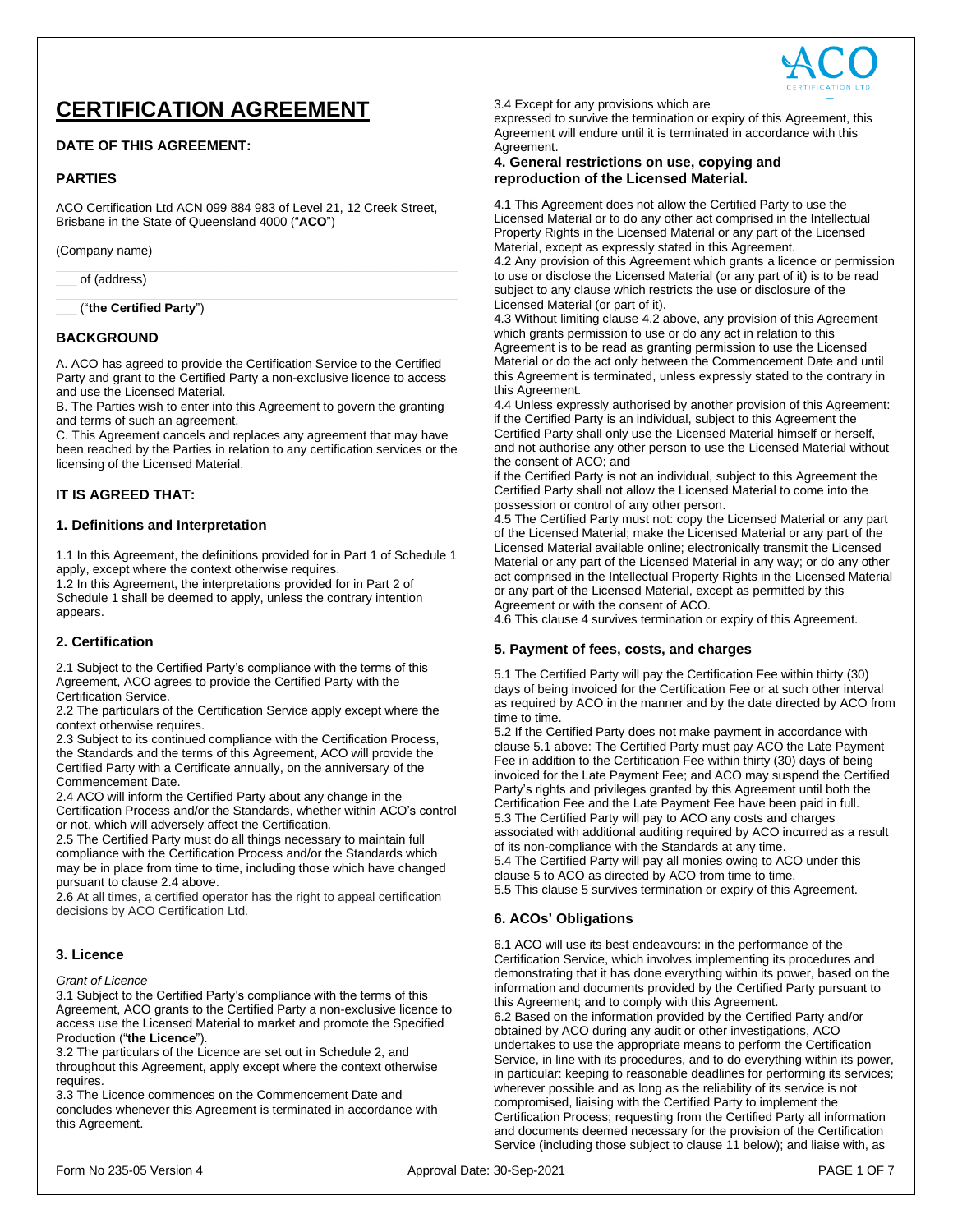

# **CERTIFICATION AGREEMENT**

# **DATE OF THIS AGREEMENT:**

# **PARTIES**

ACO Certification Ltd ACN 099 884 983 of Level 21, 12 Creek Street, Brisbane in the State of Queensland 4000 ("**ACO**")

(Company name)

of (address)

\_\_\_ ("**the Certified Party**")

# **BACKGROUND**

A. ACO has agreed to provide the Certification Service to the Certified Party and grant to the Certified Party a non-exclusive licence to access and use the Licensed Material.

B. The Parties wish to enter into this Agreement to govern the granting and terms of such an agreement.

C. This Agreement cancels and replaces any agreement that may have been reached by the Parties in relation to any certification services or the licensing of the Licensed Material.

# **IT IS AGREED THAT:**

## **1. Definitions and Interpretation**

1.1 In this Agreement, the definitions provided for in Part 1 of Schedule 1 apply, except where the context otherwise requires.

1.2 In this Agreement, the interpretations provided for in Part 2 of Schedule 1 shall be deemed to apply, unless the contrary intention appears.

# **2. Certification**

2.1 Subject to the Certified Party's compliance with the terms of this Agreement, ACO agrees to provide the Certified Party with the Certification Service.

2.2 The particulars of the Certification Service apply except where the context otherwise requires.

2.3 Subject to its continued compliance with the Certification Process, the Standards and the terms of this Agreement, ACO will provide the Certified Party with a Certificate annually, on the anniversary of the Commencement Date.

2.4 ACO will inform the Certified Party about any change in the Certification Process and/or the Standards, whether within ACO's control or not, which will adversely affect the Certification.

2.5 The Certified Party must do all things necessary to maintain full compliance with the Certification Process and/or the Standards which may be in place from time to time, including those which have changed pursuant to clause 2.4 above.

2.6 At all times, a certified operator has the right to appeal certification decisions by ACO Certification Ltd.

# **3. Licence**

## *Grant of Licence*

3.1 Subject to the Certified Party's compliance with the terms of this Agreement, ACO grants to the Certified Party a non-exclusive licence to access use the Licensed Material to market and promote the Specified Production ("**the Licence**").

3.2 The particulars of the Licence are set out in Schedule 2, and throughout this Agreement, apply except where the context otherwise requires.

3.3 The Licence commences on the Commencement Date and concludes whenever this Agreement is terminated in accordance with this Agreement.

3.4 Except for any provisions which are

expressed to survive the termination or expiry of this Agreement, this Agreement will endure until it is terminated in accordance with this Agreement.

## **4. General restrictions on use, copying and reproduction of the Licensed Material.**

4.1 This Agreement does not allow the Certified Party to use the Licensed Material or to do any other act comprised in the Intellectual Property Rights in the Licensed Material or any part of the Licensed Material, except as expressly stated in this Agreement. 4.2 Any provision of this Agreement which grants a licence or permission to use or disclose the Licensed Material (or any part of it) is to be read

subject to any clause which restricts the use or disclosure of the Licensed Material (or part of it).

4.3 Without limiting clause 4.2 above, any provision of this Agreement which grants permission to use or do any act in relation to this Agreement is to be read as granting permission to use the Licensed Material or do the act only between the Commencement Date and until this Agreement is terminated, unless expressly stated to the contrary in this Agreement.

4.4 Unless expressly authorised by another provision of this Agreement: if the Certified Party is an individual, subject to this Agreement the Certified Party shall only use the Licensed Material himself or herself, and not authorise any other person to use the Licensed Material without the consent of ACO; and

if the Certified Party is not an individual, subject to this Agreement the Certified Party shall not allow the Licensed Material to come into the possession or control of any other person.

4.5 The Certified Party must not: copy the Licensed Material or any part of the Licensed Material; make the Licensed Material or any part of the Licensed Material available online; electronically transmit the Licensed Material or any part of the Licensed Material in any way; or do any other act comprised in the Intellectual Property Rights in the Licensed Material or any part of the Licensed Material, except as permitted by this Agreement or with the consent of ACO.

4.6 This clause 4 survives termination or expiry of this Agreement.

## **5. Payment of fees, costs, and charges**

5.1 The Certified Party will pay the Certification Fee within thirty (30) days of being invoiced for the Certification Fee or at such other interval as required by ACO in the manner and by the date directed by ACO from time to time.

5.2 If the Certified Party does not make payment in accordance with clause 5.1 above: The Certified Party must pay ACO the Late Payment Fee in addition to the Certification Fee within thirty (30) days of being invoiced for the Late Payment Fee; and ACO may suspend the Certified Party's rights and privileges granted by this Agreement until both the Certification Fee and the Late Payment Fee have been paid in full. 5.3 The Certified Party will pay to ACO any costs and charges associated with additional auditing required by ACO incurred as a result of its non-compliance with the Standards at any time.

5.4 The Certified Party will pay all monies owing to ACO under this clause 5 to ACO as directed by ACO from time to time. 5.5 This clause 5 survives termination or expiry of this Agreement.

# **6. ACOs' Obligations**

6.1 ACO will use its best endeavours: in the performance of the Certification Service, which involves implementing its procedures and demonstrating that it has done everything within its power, based on the information and documents provided by the Certified Party pursuant to this Agreement; and to comply with this Agreement. 6.2 Based on the information provided by the Certified Party and/or obtained by ACO during any audit or other investigations, ACO undertakes to use the appropriate means to perform the Certification Service, in line with its procedures, and to do everything within its power, in particular: keeping to reasonable deadlines for performing its services; wherever possible and as long as the reliability of its service is not compromised, liaising with the Certified Party to implement the Certification Process; requesting from the Certified Party all information and documents deemed necessary for the provision of the Certification Service (including those subject to clause 11 below); and liaise with, as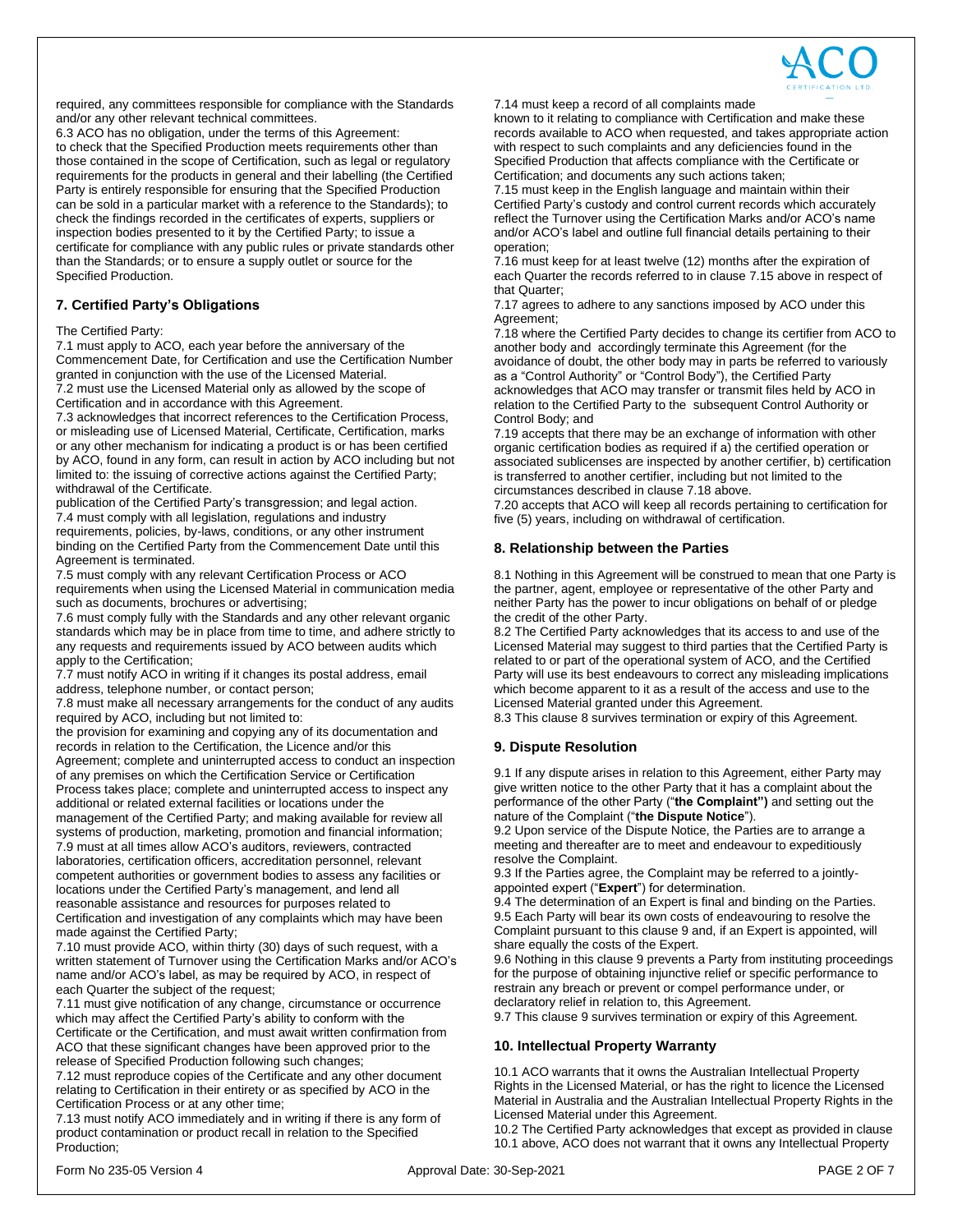

required, any committees responsible for compliance with the Standards and/or any other relevant technical committees.

6.3 ACO has no obligation, under the terms of this Agreement: to check that the Specified Production meets requirements other than those contained in the scope of Certification, such as legal or regulatory requirements for the products in general and their labelling (the Certified Party is entirely responsible for ensuring that the Specified Production can be sold in a particular market with a reference to the Standards); to check the findings recorded in the certificates of experts, suppliers or inspection bodies presented to it by the Certified Party; to issue a certificate for compliance with any public rules or private standards other than the Standards; or to ensure a supply outlet or source for the Specified Production.

# **7. Certified Party's Obligations**

#### The Certified Party:

7.1 must apply to ACO, each year before the anniversary of the Commencement Date, for Certification and use the Certification Number granted in conjunction with the use of the Licensed Material.

7.2 must use the Licensed Material only as allowed by the scope of Certification and in accordance with this Agreement.

7.3 acknowledges that incorrect references to the Certification Process, or misleading use of Licensed Material, Certificate, Certification, marks or any other mechanism for indicating a product is or has been certified by ACO, found in any form, can result in action by ACO including but not limited to: the issuing of corrective actions against the Certified Party; withdrawal of the Certificate.

publication of the Certified Party's transgression; and legal action. 7.4 must comply with all legislation, regulations and industry requirements, policies, by-laws, conditions, or any other instrument binding on the Certified Party from the Commencement Date until this Agreement is terminated.

7.5 must comply with any relevant Certification Process or ACO requirements when using the Licensed Material in communication media such as documents, brochures or advertising;

7.6 must comply fully with the Standards and any other relevant organic standards which may be in place from time to time, and adhere strictly to any requests and requirements issued by ACO between audits which apply to the Certification;

7.7 must notify ACO in writing if it changes its postal address, email address, telephone number, or contact person;

7.8 must make all necessary arrangements for the conduct of any audits required by ACO, including but not limited to:

the provision for examining and copying any of its documentation and records in relation to the Certification, the Licence and/or this Agreement; complete and uninterrupted access to conduct an inspection of any premises on which the Certification Service or Certification Process takes place; complete and uninterrupted access to inspect any additional or related external facilities or locations under the management of the Certified Party; and making available for review all systems of production, marketing, promotion and financial information; 7.9 must at all times allow ACO's auditors, reviewers, contracted laboratories, certification officers, accreditation personnel, relevant competent authorities or government bodies to assess any facilities or locations under the Certified Party's management, and lend all

reasonable assistance and resources for purposes related to Certification and investigation of any complaints which may have been made against the Certified Party;

7.10 must provide ACO, within thirty (30) days of such request, with a written statement of Turnover using the Certification Marks and/or ACO's name and/or ACO's label, as may be required by ACO, in respect of each Quarter the subject of the request;

7.11 must give notification of any change, circumstance or occurrence which may affect the Certified Party's ability to conform with the Certificate or the Certification, and must await written confirmation from ACO that these significant changes have been approved prior to the release of Specified Production following such changes;

7.12 must reproduce copies of the Certificate and any other document relating to Certification in their entirety or as specified by ACO in the Certification Process or at any other time;

7.13 must notify ACO immediately and in writing if there is any form of product contamination or product recall in relation to the Specified Production;

known to it relating to compliance with Certification and make these records available to ACO when requested, and takes appropriate action with respect to such complaints and any deficiencies found in the Specified Production that affects compliance with the Certificate or Certification; and documents any such actions taken;

7.15 must keep in the English language and maintain within their Certified Party's custody and control current records which accurately reflect the Turnover using the Certification Marks and/or ACO's name and/or ACO's label and outline full financial details pertaining to their operation;

7.16 must keep for at least twelve (12) months after the expiration of each Quarter the records referred to in clause 7.15 above in respect of that Quarter;

7.17 agrees to adhere to any sanctions imposed by ACO under this Agreement;

7.18 where the Certified Party decides to change its certifier from ACO to another body and accordingly terminate this Agreement (for the avoidance of doubt, the other body may in parts be referred to variously as a "Control Authority" or "Control Body"), the Certified Party acknowledges that ACO may transfer or transmit files held by ACO in relation to the Certified Party to the subsequent Control Authority or Control Body; and

7.19 accepts that there may be an exchange of information with other organic certification bodies as required if a) the certified operation or associated sublicenses are inspected by another certifier, b) certification is transferred to another certifier, including but not limited to the circumstances described in clause 7.18 above.

7.20 accepts that ACO will keep all records pertaining to certification for five (5) years, including on withdrawal of certification.

# **8. Relationship between the Parties**

8.1 Nothing in this Agreement will be construed to mean that one Party is the partner, agent, employee or representative of the other Party and neither Party has the power to incur obligations on behalf of or pledge the credit of the other Party.

8.2 The Certified Party acknowledges that its access to and use of the Licensed Material may suggest to third parties that the Certified Party is related to or part of the operational system of ACO, and the Certified Party will use its best endeavours to correct any misleading implications which become apparent to it as a result of the access and use to the Licensed Material granted under this Agreement.

8.3 This clause 8 survives termination or expiry of this Agreement.

# **9. Dispute Resolution**

9.1 If any dispute arises in relation to this Agreement, either Party may give written notice to the other Party that it has a complaint about the performance of the other Party ("**the Complaint")** and setting out the nature of the Complaint ("**the Dispute Notice**").

9.2 Upon service of the Dispute Notice, the Parties are to arrange a meeting and thereafter are to meet and endeavour to expeditiously resolve the Complaint.

9.3 If the Parties agree, the Complaint may be referred to a jointlyappointed expert ("**Expert**") for determination.

9.4 The determination of an Expert is final and binding on the Parties. 9.5 Each Party will bear its own costs of endeavouring to resolve the Complaint pursuant to this clause 9 and, if an Expert is appointed, will share equally the costs of the Expert.

9.6 Nothing in this clause 9 prevents a Party from instituting proceedings for the purpose of obtaining injunctive relief or specific performance to restrain any breach or prevent or compel performance under, or declaratory relief in relation to, this Agreement.

9.7 This clause 9 survives termination or expiry of this Agreement.

## **10. Intellectual Property Warranty**

10.1 ACO warrants that it owns the Australian Intellectual Property Rights in the Licensed Material, or has the right to licence the Licensed Material in Australia and the Australian Intellectual Property Rights in the Licensed Material under this Agreement.

10.2 The Certified Party acknowledges that except as provided in clause 10.1 above, ACO does not warrant that it owns any Intellectual Property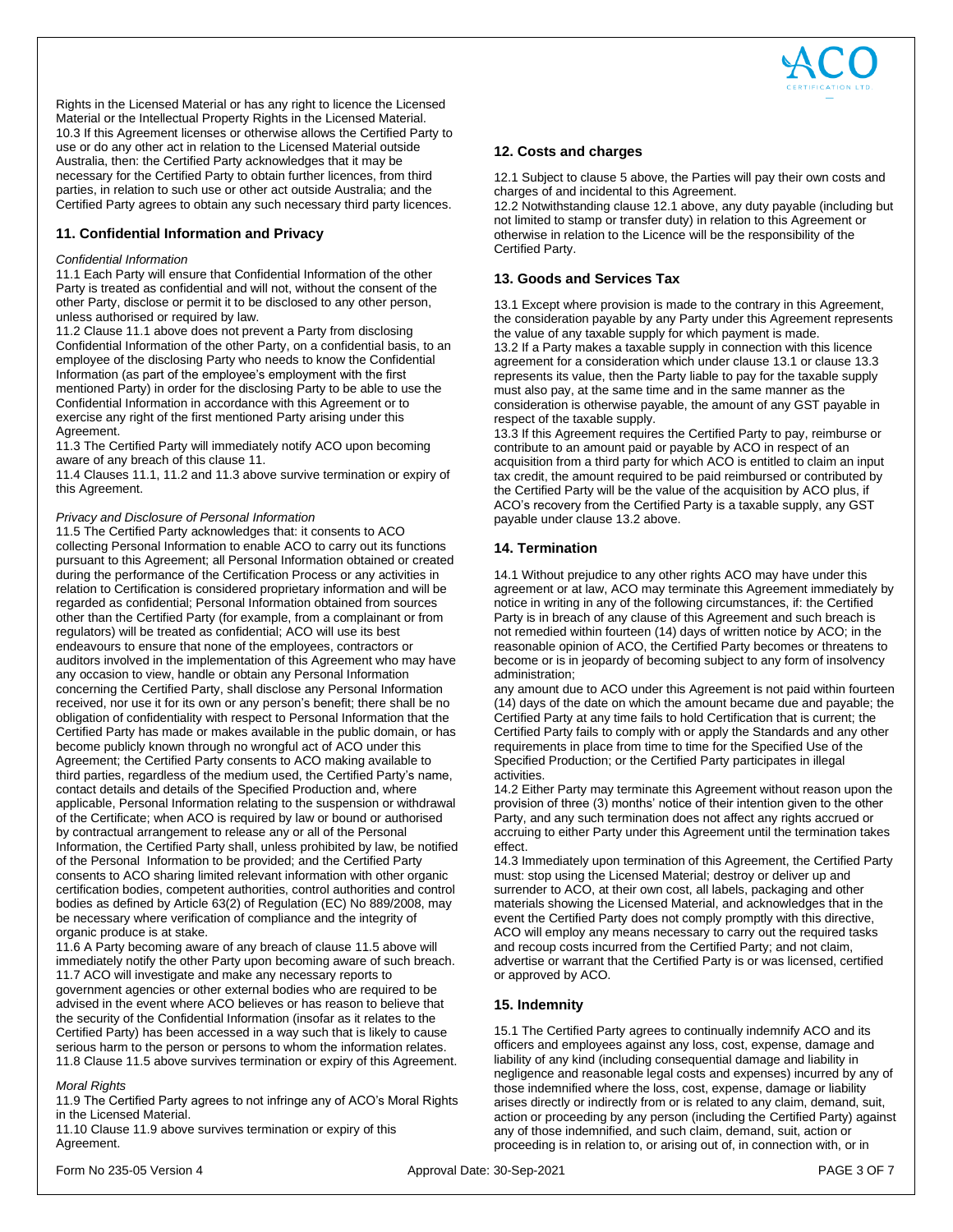

Rights in the Licensed Material or has any right to licence the Licensed Material or the Intellectual Property Rights in the Licensed Material. 10.3 If this Agreement licenses or otherwise allows the Certified Party to use or do any other act in relation to the Licensed Material outside Australia, then: the Certified Party acknowledges that it may be necessary for the Certified Party to obtain further licences, from third parties, in relation to such use or other act outside Australia; and the Certified Party agrees to obtain any such necessary third party licences.

## **11. Confidential Information and Privacy**

#### *Confidential Information*

11.1 Each Party will ensure that Confidential Information of the other Party is treated as confidential and will not, without the consent of the other Party, disclose or permit it to be disclosed to any other person, unless authorised or required by law.

11.2 Clause 11.1 above does not prevent a Party from disclosing Confidential Information of the other Party, on a confidential basis, to an employee of the disclosing Party who needs to know the Confidential Information (as part of the employee's employment with the first mentioned Party) in order for the disclosing Party to be able to use the Confidential Information in accordance with this Agreement or to exercise any right of the first mentioned Party arising under this Agreement.

11.3 The Certified Party will immediately notify ACO upon becoming aware of any breach of this clause 11.

11.4 Clauses 11.1, 11.2 and 11.3 above survive termination or expiry of this Agreement.

#### *Privacy and Disclosure of Personal Information*

11.5 The Certified Party acknowledges that: it consents to ACO collecting Personal Information to enable ACO to carry out its functions pursuant to this Agreement; all Personal Information obtained or created during the performance of the Certification Process or any activities in relation to Certification is considered proprietary information and will be regarded as confidential; Personal Information obtained from sources other than the Certified Party (for example, from a complainant or from regulators) will be treated as confidential; ACO will use its best endeavours to ensure that none of the employees, contractors or auditors involved in the implementation of this Agreement who may have any occasion to view, handle or obtain any Personal Information concerning the Certified Party, shall disclose any Personal Information received, nor use it for its own or any person's benefit; there shall be no obligation of confidentiality with respect to Personal Information that the Certified Party has made or makes available in the public domain, or has become publicly known through no wrongful act of ACO under this Agreement; the Certified Party consents to ACO making available to third parties, regardless of the medium used, the Certified Party's name, contact details and details of the Specified Production and, where applicable, Personal Information relating to the suspension or withdrawal of the Certificate; when ACO is required by law or bound or authorised by contractual arrangement to release any or all of the Personal Information, the Certified Party shall, unless prohibited by law, be notified of the Personal Information to be provided; and the Certified Party consents to ACO sharing limited relevant information with other organic certification bodies, competent authorities, control authorities and control bodies as defined by Article 63(2) of Regulation (EC) No 889/2008, may be necessary where verification of compliance and the integrity of organic produce is at stake.

11.6 A Party becoming aware of any breach of clause 11.5 above will immediately notify the other Party upon becoming aware of such breach. 11.7 ACO will investigate and make any necessary reports to government agencies or other external bodies who are required to be advised in the event where ACO believes or has reason to believe that the security of the Confidential Information (insofar as it relates to the Certified Party) has been accessed in a way such that is likely to cause serious harm to the person or persons to whom the information relates. 11.8 Clause 11.5 above survives termination or expiry of this Agreement.

#### *Moral Rights*

11.9 The Certified Party agrees to not infringe any of ACO's Moral Rights in the Licensed Material.

11.10 Clause 11.9 above survives termination or expiry of this Agreement.

## **12. Costs and charges**

12.1 Subject to clause 5 above, the Parties will pay their own costs and charges of and incidental to this Agreement.

12.2 Notwithstanding clause 12.1 above, any duty payable (including but not limited to stamp or transfer duty) in relation to this Agreement or otherwise in relation to the Licence will be the responsibility of the Certified Party.

## **13. Goods and Services Tax**

13.1 Except where provision is made to the contrary in this Agreement, the consideration payable by any Party under this Agreement represents the value of any taxable supply for which payment is made.

13.2 If a Party makes a taxable supply in connection with this licence agreement for a consideration which under clause 13.1 or clause 13.3 represents its value, then the Party liable to pay for the taxable supply must also pay, at the same time and in the same manner as the consideration is otherwise payable, the amount of any GST payable in respect of the taxable supply.

13.3 If this Agreement requires the Certified Party to pay, reimburse or contribute to an amount paid or payable by ACO in respect of an acquisition from a third party for which ACO is entitled to claim an input tax credit, the amount required to be paid reimbursed or contributed by the Certified Party will be the value of the acquisition by ACO plus, if ACO's recovery from the Certified Party is a taxable supply, any GST payable under clause 13.2 above.

# **14. Termination**

14.1 Without prejudice to any other rights ACO may have under this agreement or at law, ACO may terminate this Agreement immediately by notice in writing in any of the following circumstances, if: the Certified Party is in breach of any clause of this Agreement and such breach is not remedied within fourteen (14) days of written notice by ACO; in the reasonable opinion of ACO, the Certified Party becomes or threatens to become or is in jeopardy of becoming subject to any form of insolvency administration;

any amount due to ACO under this Agreement is not paid within fourteen (14) days of the date on which the amount became due and payable; the Certified Party at any time fails to hold Certification that is current; the Certified Party fails to comply with or apply the Standards and any other requirements in place from time to time for the Specified Use of the Specified Production; or the Certified Party participates in illegal activities.

14.2 Either Party may terminate this Agreement without reason upon the provision of three (3) months' notice of their intention given to the other Party, and any such termination does not affect any rights accrued or accruing to either Party under this Agreement until the termination takes effect.

14.3 Immediately upon termination of this Agreement, the Certified Party must: stop using the Licensed Material; destroy or deliver up and surrender to ACO, at their own cost, all labels, packaging and other materials showing the Licensed Material, and acknowledges that in the event the Certified Party does not comply promptly with this directive, ACO will employ any means necessary to carry out the required tasks and recoup costs incurred from the Certified Party; and not claim, advertise or warrant that the Certified Party is or was licensed, certified or approved by ACO.

## **15. Indemnity**

15.1 The Certified Party agrees to continually indemnify ACO and its officers and employees against any loss, cost, expense, damage and liability of any kind (including consequential damage and liability in negligence and reasonable legal costs and expenses) incurred by any of those indemnified where the loss, cost, expense, damage or liability arises directly or indirectly from or is related to any claim, demand, suit, action or proceeding by any person (including the Certified Party) against any of those indemnified, and such claim, demand, suit, action or proceeding is in relation to, or arising out of, in connection with, or in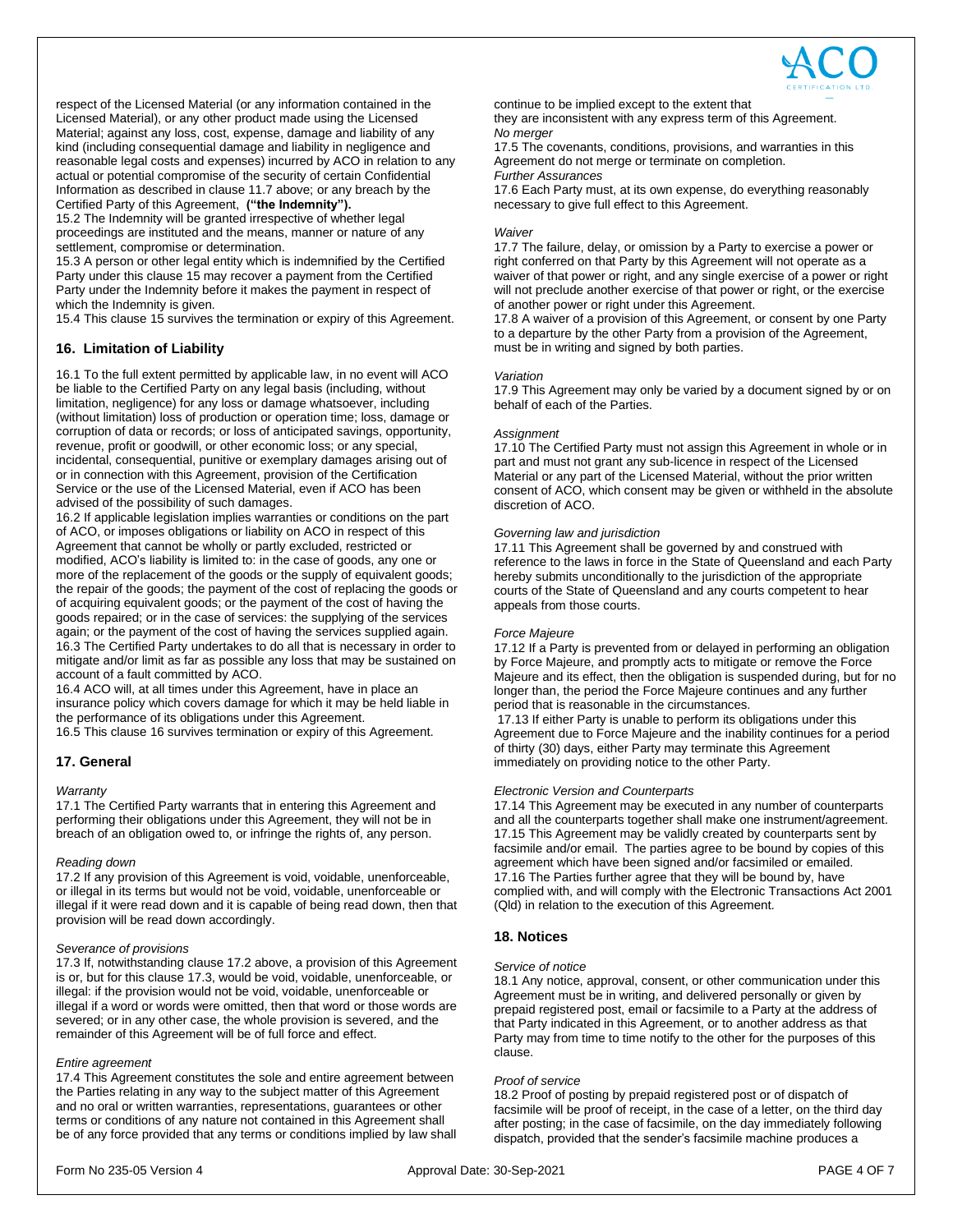

respect of the Licensed Material (or any information contained in the Licensed Material), or any other product made using the Licensed Material; against any loss, cost, expense, damage and liability of any kind (including consequential damage and liability in negligence and reasonable legal costs and expenses) incurred by ACO in relation to any actual or potential compromise of the security of certain Confidential Information as described in clause 11.7 above; or any breach by the Certified Party of this Agreement, **("the Indemnity").**

15.2 The Indemnity will be granted irrespective of whether legal proceedings are instituted and the means, manner or nature of any settlement, compromise or determination.

15.3 A person or other legal entity which is indemnified by the Certified Party under this clause 15 may recover a payment from the Certified Party under the Indemnity before it makes the payment in respect of which the Indemnity is given.

15.4 This clause 15 survives the termination or expiry of this Agreement.

## **16. Limitation of Liability**

16.1 To the full extent permitted by applicable law, in no event will ACO be liable to the Certified Party on any legal basis (including, without limitation, negligence) for any loss or damage whatsoever, including (without limitation) loss of production or operation time; loss, damage or corruption of data or records; or loss of anticipated savings, opportunity, revenue, profit or goodwill, or other economic loss; or any special, incidental, consequential, punitive or exemplary damages arising out of or in connection with this Agreement, provision of the Certification Service or the use of the Licensed Material, even if ACO has been advised of the possibility of such damages.

16.2 If applicable legislation implies warranties or conditions on the part of ACO, or imposes obligations or liability on ACO in respect of this Agreement that cannot be wholly or partly excluded, restricted or modified, ACO's liability is limited to: in the case of goods, any one or more of the replacement of the goods or the supply of equivalent goods; the repair of the goods; the payment of the cost of replacing the goods or of acquiring equivalent goods; or the payment of the cost of having the goods repaired; or in the case of services: the supplying of the services again; or the payment of the cost of having the services supplied again. 16.3 The Certified Party undertakes to do all that is necessary in order to mitigate and/or limit as far as possible any loss that may be sustained on account of a fault committed by ACO.

16.4 ACO will, at all times under this Agreement, have in place an insurance policy which covers damage for which it may be held liable in the performance of its obligations under this Agreement. 16.5 This clause 16 survives termination or expiry of this Agreement.

## **17. General**

#### *Warranty*

17.1 The Certified Party warrants that in entering this Agreement and performing their obligations under this Agreement, they will not be in breach of an obligation owed to, or infringe the rights of, any person.

#### *Reading down*

17.2 If any provision of this Agreement is void, voidable, unenforceable, or illegal in its terms but would not be void, voidable, unenforceable or illegal if it were read down and it is capable of being read down, then that provision will be read down accordingly.

#### *Severance of provisions*

17.3 If, notwithstanding clause 17.2 above, a provision of this Agreement is or, but for this clause 17.3, would be void, voidable, unenforceable, or illegal: if the provision would not be void, voidable, unenforceable or illegal if a word or words were omitted, then that word or those words are severed; or in any other case, the whole provision is severed, and the remainder of this Agreement will be of full force and effect.

## *Entire agreement*

17.4 This Agreement constitutes the sole and entire agreement between the Parties relating in any way to the subject matter of this Agreement and no oral or written warranties, representations, guarantees or other terms or conditions of any nature not contained in this Agreement shall be of any force provided that any terms or conditions implied by law shall continue to be implied except to the extent that

they are inconsistent with any express term of this Agreement. *No merger*

17.5 The covenants, conditions, provisions, and warranties in this Agreement do not merge or terminate on completion. *Further Assurances*

17.6 Each Party must, at its own expense, do everything reasonably necessary to give full effect to this Agreement.

#### *Waiver*

17.7 The failure, delay, or omission by a Party to exercise a power or right conferred on that Party by this Agreement will not operate as a waiver of that power or right, and any single exercise of a power or right will not preclude another exercise of that power or right, or the exercise of another power or right under this Agreement.

17.8 A waiver of a provision of this Agreement, or consent by one Party to a departure by the other Party from a provision of the Agreement, must be in writing and signed by both parties.

#### *Variation*

17.9 This Agreement may only be varied by a document signed by or on behalf of each of the Parties.

#### *Assignment*

17.10 The Certified Party must not assign this Agreement in whole or in part and must not grant any sub-licence in respect of the Licensed Material or any part of the Licensed Material, without the prior written consent of ACO, which consent may be given or withheld in the absolute discretion of ACO.

#### *Governing law and jurisdiction*

17.11 This Agreement shall be governed by and construed with reference to the laws in force in the State of Queensland and each Party hereby submits unconditionally to the jurisdiction of the appropriate courts of the State of Queensland and any courts competent to hear appeals from those courts.

#### *Force Majeure*

17.12 If a Party is prevented from or delayed in performing an obligation by Force Majeure, and promptly acts to mitigate or remove the Force Majeure and its effect, then the obligation is suspended during, but for no longer than, the period the Force Majeure continues and any further period that is reasonable in the circumstances.

17.13 If either Party is unable to perform its obligations under this Agreement due to Force Majeure and the inability continues for a period of thirty (30) days, either Party may terminate this Agreement immediately on providing notice to the other Party.

#### *Electronic Version and Counterparts*

17.14 This Agreement may be executed in any number of counterparts and all the counterparts together shall make one instrument/agreement. 17.15 This Agreement may be validly created by counterparts sent by facsimile and/or email. The parties agree to be bound by copies of this agreement which have been signed and/or facsimiled or emailed. 17.16 The Parties further agree that they will be bound by, have complied with, and will comply with the Electronic Transactions Act 2001 (Qld) in relation to the execution of this Agreement.

## **18. Notices**

#### *Service of notice*

18.1 Any notice, approval, consent, or other communication under this Agreement must be in writing, and delivered personally or given by prepaid registered post, email or facsimile to a Party at the address of that Party indicated in this Agreement, or to another address as that Party may from time to time notify to the other for the purposes of this clause.

#### *Proof of service*

18.2 Proof of posting by prepaid registered post or of dispatch of facsimile will be proof of receipt, in the case of a letter, on the third day after posting; in the case of facsimile, on the day immediately following dispatch, provided that the sender's facsimile machine produces a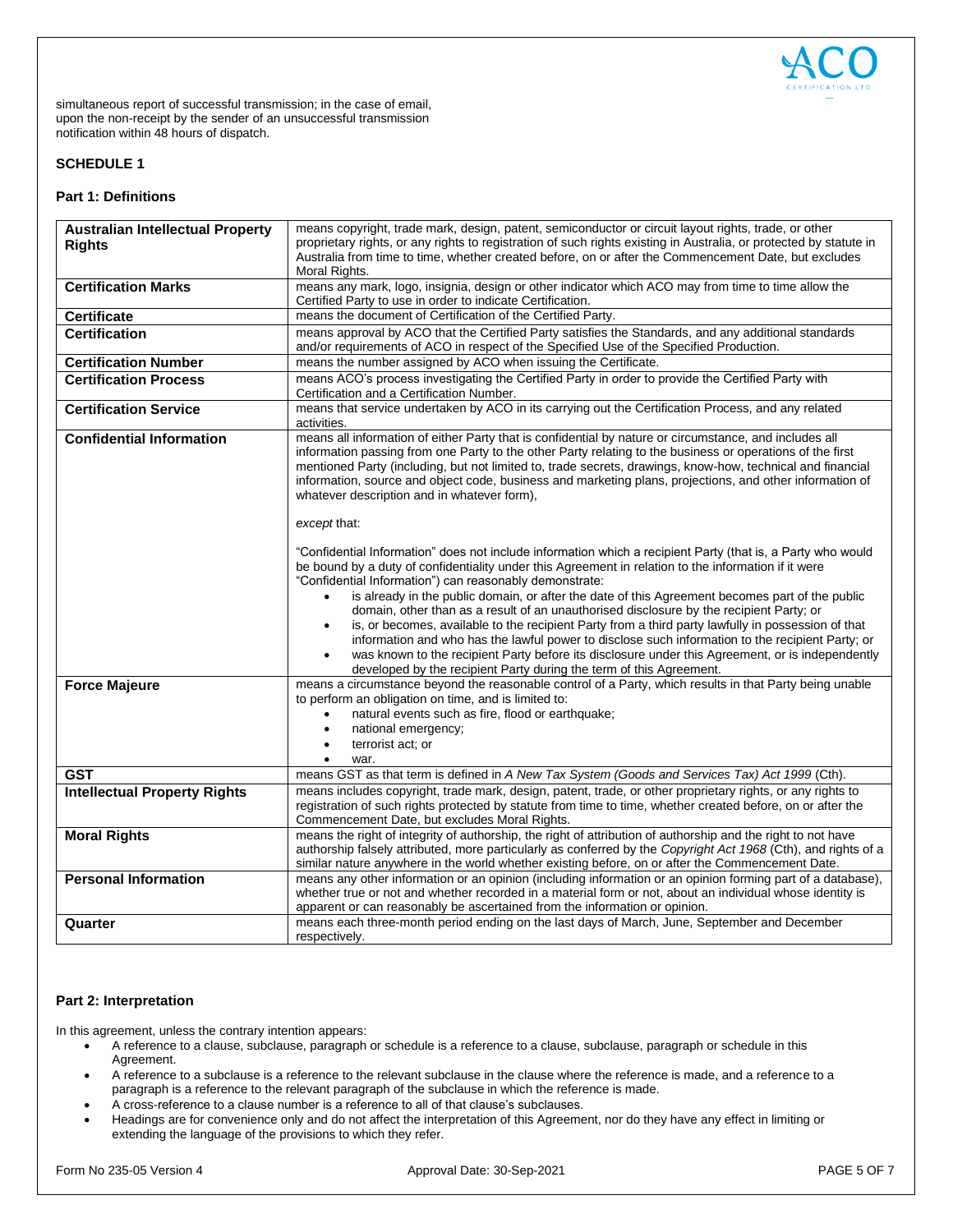

simultaneous report of successful transmission; in the case of email, upon the non-receipt by the sender of an unsuccessful transmission notification within 48 hours of dispatch.

## **SCHEDULE 1**

# **Part 1: Definitions**

| <b>Australian Intellectual Property</b> | means copyright, trade mark, design, patent, semiconductor or circuit layout rights, trade, or other                                                                                                                                                                                                                                                                                                                                                                                                   |
|-----------------------------------------|--------------------------------------------------------------------------------------------------------------------------------------------------------------------------------------------------------------------------------------------------------------------------------------------------------------------------------------------------------------------------------------------------------------------------------------------------------------------------------------------------------|
| <b>Rights</b>                           | proprietary rights, or any rights to registration of such rights existing in Australia, or protected by statute in                                                                                                                                                                                                                                                                                                                                                                                     |
|                                         | Australia from time to time, whether created before, on or after the Commencement Date, but excludes                                                                                                                                                                                                                                                                                                                                                                                                   |
|                                         | Moral Rights.                                                                                                                                                                                                                                                                                                                                                                                                                                                                                          |
| <b>Certification Marks</b>              | means any mark, logo, insignia, design or other indicator which ACO may from time to time allow the<br>Certified Party to use in order to indicate Certification.                                                                                                                                                                                                                                                                                                                                      |
| <b>Certificate</b>                      | means the document of Certification of the Certified Party.                                                                                                                                                                                                                                                                                                                                                                                                                                            |
|                                         |                                                                                                                                                                                                                                                                                                                                                                                                                                                                                                        |
| <b>Certification</b>                    | means approval by ACO that the Certified Party satisfies the Standards, and any additional standards<br>and/or requirements of ACO in respect of the Specified Use of the Specified Production.                                                                                                                                                                                                                                                                                                        |
| <b>Certification Number</b>             | means the number assigned by ACO when issuing the Certificate.                                                                                                                                                                                                                                                                                                                                                                                                                                         |
| <b>Certification Process</b>            | means ACO's process investigating the Certified Party in order to provide the Certified Party with<br>Certification and a Certification Number.                                                                                                                                                                                                                                                                                                                                                        |
| <b>Certification Service</b>            | means that service undertaken by ACO in its carrying out the Certification Process, and any related<br>activities.                                                                                                                                                                                                                                                                                                                                                                                     |
| <b>Confidential Information</b>         | means all information of either Party that is confidential by nature or circumstance, and includes all<br>information passing from one Party to the other Party relating to the business or operations of the first<br>mentioned Party (including, but not limited to, trade secrets, drawings, know-how, technical and financial<br>information, source and object code, business and marketing plans, projections, and other information of<br>whatever description and in whatever form),           |
|                                         | except that:<br>"Confidential Information" does not include information which a recipient Party (that is, a Party who would                                                                                                                                                                                                                                                                                                                                                                            |
|                                         | be bound by a duty of confidentiality under this Agreement in relation to the information if it were<br>"Confidential Information") can reasonably demonstrate:<br>is already in the public domain, or after the date of this Agreement becomes part of the public<br>$\bullet$                                                                                                                                                                                                                        |
|                                         | domain, other than as a result of an unauthorised disclosure by the recipient Party; or<br>is, or becomes, available to the recipient Party from a third party lawfully in possession of that<br>$\bullet$<br>information and who has the lawful power to disclose such information to the recipient Party; or<br>was known to the recipient Party before its disclosure under this Agreement, or is independently<br>$\bullet$<br>developed by the recipient Party during the term of this Agreement. |
| <b>Force Majeure</b>                    | means a circumstance beyond the reasonable control of a Party, which results in that Party being unable<br>to perform an obligation on time, and is limited to:<br>natural events such as fire, flood or earthquake;<br>$\bullet$<br>national emergency;<br>$\bullet$<br>terrorist act; or<br>$\bullet$<br>war.                                                                                                                                                                                        |
| <b>GST</b>                              | means GST as that term is defined in A New Tax System (Goods and Services Tax) Act 1999 (Cth).                                                                                                                                                                                                                                                                                                                                                                                                         |
| <b>Intellectual Property Rights</b>     | means includes copyright, trade mark, design, patent, trade, or other proprietary rights, or any rights to<br>registration of such rights protected by statute from time to time, whether created before, on or after the<br>Commencement Date, but excludes Moral Rights.                                                                                                                                                                                                                             |
| <b>Moral Rights</b>                     | means the right of integrity of authorship, the right of attribution of authorship and the right to not have<br>authorship falsely attributed, more particularly as conferred by the Copyright Act 1968 (Cth), and rights of a<br>similar nature anywhere in the world whether existing before, on or after the Commencement Date.                                                                                                                                                                     |
| <b>Personal Information</b>             | means any other information or an opinion (including information or an opinion forming part of a database),<br>whether true or not and whether recorded in a material form or not, about an individual whose identity is<br>apparent or can reasonably be ascertained from the information or opinion.                                                                                                                                                                                                 |
| Quarter                                 | means each three-month period ending on the last days of March, June, September and December<br>respectively.                                                                                                                                                                                                                                                                                                                                                                                          |

# **Part 2: Interpretation**

In this agreement, unless the contrary intention appears:

- A reference to a clause, subclause, paragraph or schedule is a reference to a clause, subclause, paragraph or schedule in this Agreement.
- A reference to a subclause is a reference to the relevant subclause in the clause where the reference is made, and a reference to a paragraph is a reference to the relevant paragraph of the subclause in which the reference is made.
- A cross-reference to a clause number is a reference to all of that clause's subclauses.
- Headings are for convenience only and do not affect the interpretation of this Agreement, nor do they have any effect in limiting or extending the language of the provisions to which they refer.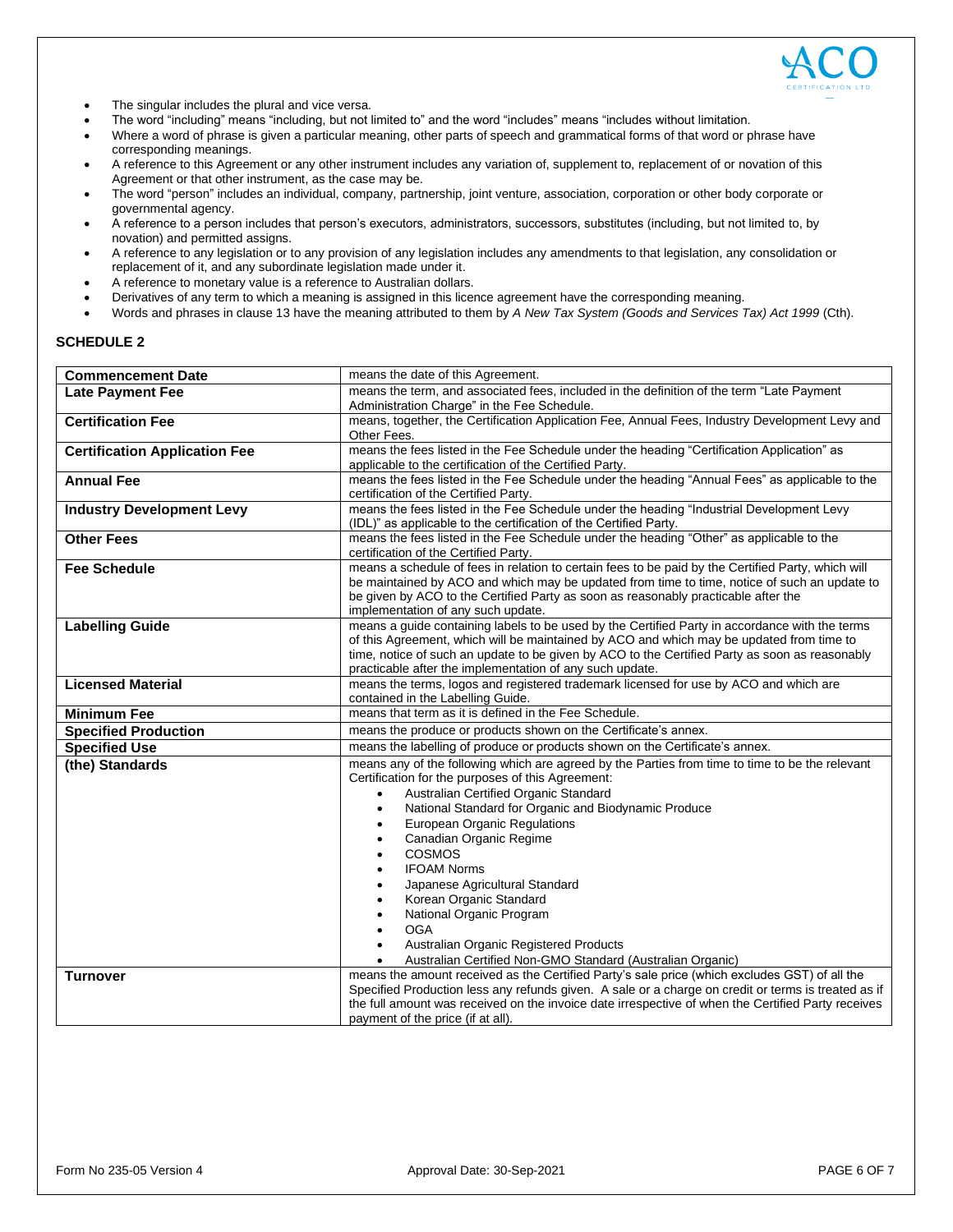

- The singular includes the plural and vice versa.
- The word "including" means "including, but not limited to" and the word "includes" means "includes without limitation.
- Where a word of phrase is given a particular meaning, other parts of speech and grammatical forms of that word or phrase have corresponding meanings.
- A reference to this Agreement or any other instrument includes any variation of, supplement to, replacement of or novation of this Agreement or that other instrument, as the case may be.
- The word "person" includes an individual, company, partnership, joint venture, association, corporation or other body corporate or governmental agency.
- A reference to a person includes that person's executors, administrators, successors, substitutes (including, but not limited to, by novation) and permitted assigns.
- A reference to any legislation or to any provision of any legislation includes any amendments to that legislation, any consolidation or replacement of it, and any subordinate legislation made under it.
- A reference to monetary value is a reference to Australian dollars.
- Derivatives of any term to which a meaning is assigned in this licence agreement have the corresponding meaning.
- Words and phrases in clause 13 have the meaning attributed to them by *A New Tax System (Goods and Services Tax) Act 1999* (Cth).

# **SCHEDULE 2**

| <b>Commencement Date</b>             | means the date of this Agreement.                                                                                                                                                                                                                                                                                                                                                                                                                                                                                                                                                                                                                                                                             |
|--------------------------------------|---------------------------------------------------------------------------------------------------------------------------------------------------------------------------------------------------------------------------------------------------------------------------------------------------------------------------------------------------------------------------------------------------------------------------------------------------------------------------------------------------------------------------------------------------------------------------------------------------------------------------------------------------------------------------------------------------------------|
| <b>Late Payment Fee</b>              | means the term, and associated fees, included in the definition of the term "Late Payment<br>Administration Charge" in the Fee Schedule.                                                                                                                                                                                                                                                                                                                                                                                                                                                                                                                                                                      |
| <b>Certification Fee</b>             | means, together, the Certification Application Fee, Annual Fees, Industry Development Levy and<br>Other Fees.                                                                                                                                                                                                                                                                                                                                                                                                                                                                                                                                                                                                 |
| <b>Certification Application Fee</b> | means the fees listed in the Fee Schedule under the heading "Certification Application" as<br>applicable to the certification of the Certified Party.                                                                                                                                                                                                                                                                                                                                                                                                                                                                                                                                                         |
| <b>Annual Fee</b>                    | means the fees listed in the Fee Schedule under the heading "Annual Fees" as applicable to the<br>certification of the Certified Party.                                                                                                                                                                                                                                                                                                                                                                                                                                                                                                                                                                       |
| <b>Industry Development Levy</b>     | means the fees listed in the Fee Schedule under the heading "Industrial Development Levy<br>(IDL)" as applicable to the certification of the Certified Party.                                                                                                                                                                                                                                                                                                                                                                                                                                                                                                                                                 |
| <b>Other Fees</b>                    | means the fees listed in the Fee Schedule under the heading "Other" as applicable to the<br>certification of the Certified Party.                                                                                                                                                                                                                                                                                                                                                                                                                                                                                                                                                                             |
| <b>Fee Schedule</b>                  | means a schedule of fees in relation to certain fees to be paid by the Certified Party, which will<br>be maintained by ACO and which may be updated from time to time, notice of such an update to<br>be given by ACO to the Certified Party as soon as reasonably practicable after the<br>implementation of any such update.                                                                                                                                                                                                                                                                                                                                                                                |
| <b>Labelling Guide</b>               | means a guide containing labels to be used by the Certified Party in accordance with the terms<br>of this Agreement, which will be maintained by ACO and which may be updated from time to<br>time, notice of such an update to be given by ACO to the Certified Party as soon as reasonably<br>practicable after the implementation of any such update.                                                                                                                                                                                                                                                                                                                                                      |
| <b>Licensed Material</b>             | means the terms, logos and registered trademark licensed for use by ACO and which are<br>contained in the Labelling Guide.                                                                                                                                                                                                                                                                                                                                                                                                                                                                                                                                                                                    |
| <b>Minimum Fee</b>                   | means that term as it is defined in the Fee Schedule.                                                                                                                                                                                                                                                                                                                                                                                                                                                                                                                                                                                                                                                         |
| <b>Specified Production</b>          | means the produce or products shown on the Certificate's annex.                                                                                                                                                                                                                                                                                                                                                                                                                                                                                                                                                                                                                                               |
| <b>Specified Use</b>                 | means the labelling of produce or products shown on the Certificate's annex.                                                                                                                                                                                                                                                                                                                                                                                                                                                                                                                                                                                                                                  |
| (the) Standards                      | means any of the following which are agreed by the Parties from time to time to be the relevant<br>Certification for the purposes of this Agreement:<br>Australian Certified Organic Standard<br>$\bullet$<br>National Standard for Organic and Biodynamic Produce<br>٠<br>European Organic Regulations<br>$\bullet$<br>Canadian Organic Regime<br>$\bullet$<br><b>COSMOS</b><br>$\bullet$<br><b>IFOAM Norms</b><br>$\bullet$<br>Japanese Agricultural Standard<br>Korean Organic Standard<br>$\bullet$<br>National Organic Program<br>$\bullet$<br><b>OGA</b><br>$\bullet$<br>Australian Organic Registered Products<br>$\bullet$<br>Australian Certified Non-GMO Standard (Australian Organic)<br>$\bullet$ |
| <b>Turnover</b>                      | means the amount received as the Certified Party's sale price (which excludes GST) of all the<br>Specified Production less any refunds given. A sale or a charge on credit or terms is treated as if<br>the full amount was received on the invoice date irrespective of when the Certified Party receives<br>payment of the price (if at all).                                                                                                                                                                                                                                                                                                                                                               |